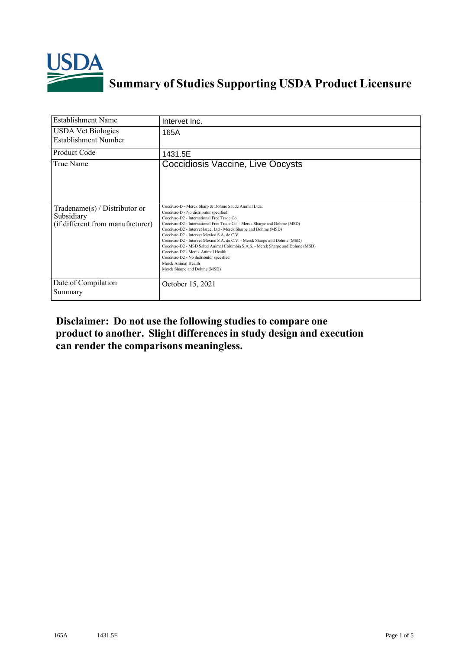

## **Summary of Studies Supporting USDA Product Licensure**

| <b>Establishment Name</b>                                                         | Intervet Inc.                                                                                                                                                                                                                                                                                                                                                                                                                                                                                                                                                                                                                                 |
|-----------------------------------------------------------------------------------|-----------------------------------------------------------------------------------------------------------------------------------------------------------------------------------------------------------------------------------------------------------------------------------------------------------------------------------------------------------------------------------------------------------------------------------------------------------------------------------------------------------------------------------------------------------------------------------------------------------------------------------------------|
| <b>USDA Vet Biologics</b><br><b>Establishment Number</b>                          | 165A                                                                                                                                                                                                                                                                                                                                                                                                                                                                                                                                                                                                                                          |
| Product Code                                                                      | 1431.5E                                                                                                                                                                                                                                                                                                                                                                                                                                                                                                                                                                                                                                       |
| True Name                                                                         | Coccidiosis Vaccine, Live Oocysts                                                                                                                                                                                                                                                                                                                                                                                                                                                                                                                                                                                                             |
| $Tradename(s) / Distributor$ or<br>Subsidiary<br>(if different from manufacturer) | Coccivac-D - Merck Sharp & Dohme Saude Animal Ltda.<br>Coccivac-D - No distributor specified<br>Coccivac-D2 - International Free Trade Co.<br>Coccivac-D2 - International Free Trade Co. - Merck Sharpe and Dohme (MSD)<br>Coccivac-D2 - Intervet Israel Ltd - Merck Sharpe and Dohme (MSD)<br>Coccivac-D2 - Intervet Mexico S.A. de C.V.<br>Coccivac-D2 - Intervet Mexico S.A. de C.V. - Merck Sharpe and Dohme (MSD)<br>Coccivac-D2 - MSD Salud Animal Columbia S.A.S. - Merck Sharpe and Dohme (MSD)<br>Coccivac-D2 - Merck Animal Health<br>Coccivac-D2 - No distributor specified<br>Merck Animal Health<br>Merck Sharpe and Dohme (MSD) |
| Date of Compilation<br>Summary                                                    | October 15, 2021                                                                                                                                                                                                                                                                                                                                                                                                                                                                                                                                                                                                                              |

**Disclaimer: Do not use the following studiesto compare one product to another. Slight differencesin study design and execution can render the comparisons meaningless.**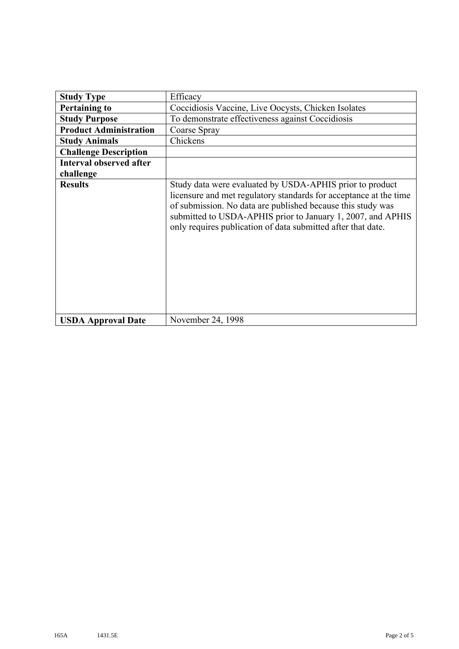| <b>Study Type</b>              | Efficacy                                                                                                                                                                                                                                                                                                                    |  |  |  |  |  |  |
|--------------------------------|-----------------------------------------------------------------------------------------------------------------------------------------------------------------------------------------------------------------------------------------------------------------------------------------------------------------------------|--|--|--|--|--|--|
| <b>Pertaining to</b>           | Coccidiosis Vaccine, Live Oocysts, Chicken Isolates                                                                                                                                                                                                                                                                         |  |  |  |  |  |  |
| <b>Study Purpose</b>           | To demonstrate effectiveness against Coccidiosis                                                                                                                                                                                                                                                                            |  |  |  |  |  |  |
| <b>Product Administration</b>  | Coarse Spray                                                                                                                                                                                                                                                                                                                |  |  |  |  |  |  |
| <b>Study Animals</b>           | Chickens                                                                                                                                                                                                                                                                                                                    |  |  |  |  |  |  |
| <b>Challenge Description</b>   |                                                                                                                                                                                                                                                                                                                             |  |  |  |  |  |  |
| <b>Interval observed after</b> |                                                                                                                                                                                                                                                                                                                             |  |  |  |  |  |  |
| challenge                      |                                                                                                                                                                                                                                                                                                                             |  |  |  |  |  |  |
| <b>Results</b>                 | Study data were evaluated by USDA-APHIS prior to product<br>licensure and met regulatory standards for acceptance at the time<br>of submission. No data are published because this study was<br>submitted to USDA-APHIS prior to January 1, 2007, and APHIS<br>only requires publication of data submitted after that date. |  |  |  |  |  |  |
| <b>USDA Approval Date</b>      | November 24, 1998                                                                                                                                                                                                                                                                                                           |  |  |  |  |  |  |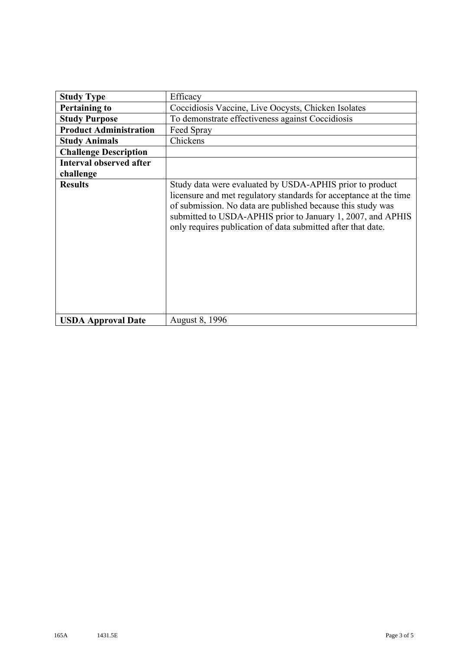| <b>Study Type</b>              | Efficacy                                                                                                                                                                                                                                                                                                                    |  |  |  |  |  |  |
|--------------------------------|-----------------------------------------------------------------------------------------------------------------------------------------------------------------------------------------------------------------------------------------------------------------------------------------------------------------------------|--|--|--|--|--|--|
| <b>Pertaining to</b>           | Coccidiosis Vaccine, Live Oocysts, Chicken Isolates                                                                                                                                                                                                                                                                         |  |  |  |  |  |  |
| <b>Study Purpose</b>           | To demonstrate effectiveness against Coccidiosis                                                                                                                                                                                                                                                                            |  |  |  |  |  |  |
| <b>Product Administration</b>  | Feed Spray                                                                                                                                                                                                                                                                                                                  |  |  |  |  |  |  |
| <b>Study Animals</b>           | Chickens                                                                                                                                                                                                                                                                                                                    |  |  |  |  |  |  |
| <b>Challenge Description</b>   |                                                                                                                                                                                                                                                                                                                             |  |  |  |  |  |  |
| <b>Interval observed after</b> |                                                                                                                                                                                                                                                                                                                             |  |  |  |  |  |  |
| challenge                      |                                                                                                                                                                                                                                                                                                                             |  |  |  |  |  |  |
| <b>Results</b>                 | Study data were evaluated by USDA-APHIS prior to product<br>licensure and met regulatory standards for acceptance at the time<br>of submission. No data are published because this study was<br>submitted to USDA-APHIS prior to January 1, 2007, and APHIS<br>only requires publication of data submitted after that date. |  |  |  |  |  |  |
| <b>USDA Approval Date</b>      | August 8, 1996                                                                                                                                                                                                                                                                                                              |  |  |  |  |  |  |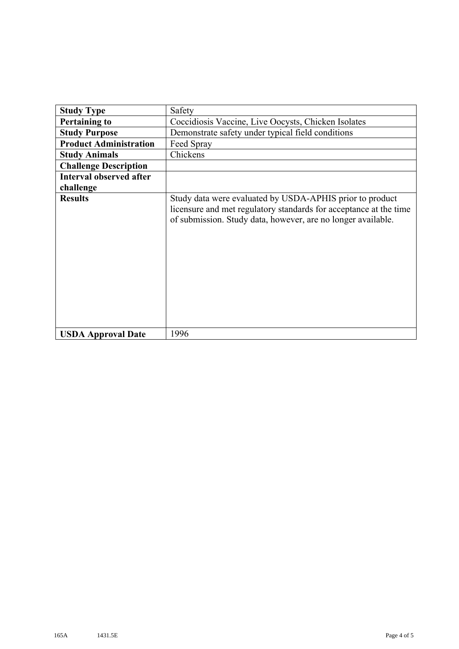| <b>Study Type</b>              | Safety                                                                                                                                                                                        |  |  |  |  |  |  |
|--------------------------------|-----------------------------------------------------------------------------------------------------------------------------------------------------------------------------------------------|--|--|--|--|--|--|
| <b>Pertaining to</b>           | Coccidiosis Vaccine, Live Oocysts, Chicken Isolates                                                                                                                                           |  |  |  |  |  |  |
| <b>Study Purpose</b>           | Demonstrate safety under typical field conditions                                                                                                                                             |  |  |  |  |  |  |
| <b>Product Administration</b>  | Feed Spray                                                                                                                                                                                    |  |  |  |  |  |  |
| <b>Study Animals</b>           | Chickens                                                                                                                                                                                      |  |  |  |  |  |  |
| <b>Challenge Description</b>   |                                                                                                                                                                                               |  |  |  |  |  |  |
| <b>Interval observed after</b> |                                                                                                                                                                                               |  |  |  |  |  |  |
| challenge                      |                                                                                                                                                                                               |  |  |  |  |  |  |
| <b>Results</b>                 | Study data were evaluated by USDA-APHIS prior to product<br>licensure and met regulatory standards for acceptance at the time<br>of submission. Study data, however, are no longer available. |  |  |  |  |  |  |
| <b>USDA Approval Date</b>      | 1996                                                                                                                                                                                          |  |  |  |  |  |  |